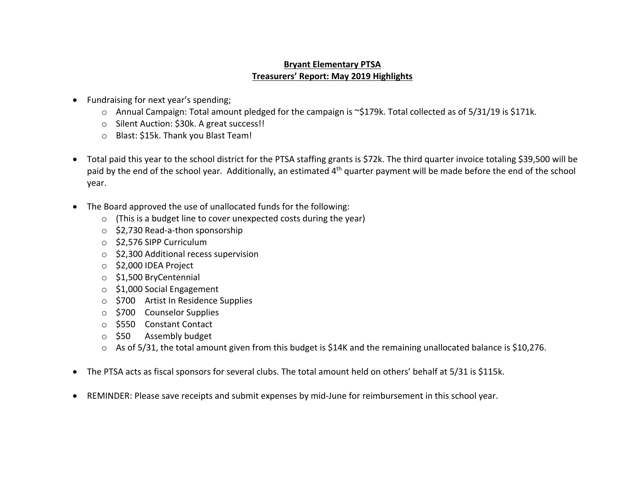## **Bryant Elementary PTSA Treasurers' Report: May 2019 Highlights**

- Fundraising for next year's spending;
	- o Annual Campaign: Total amount pledged for the campaign is ~\$179k. Total collected as of 5/31/19 is \$171k.
	- o Silent Auction: \$30k. A great success!!
	- o Blast: \$15k. Thank you Blast Team!
- Total paid this year to the school district for the PTSA staffing grants is \$72k. The third quarter invoice totaling \$39,500 will be paid by the end of the school year. Additionally, an estimated 4<sup>th</sup> quarter payment will be made before the end of the school year.
- The Board approved the use of unallocated funds for the following:
	- $\circ$  (This is a budget line to cover unexpected costs during the year)
	- o \$2,730 Read-a-thon sponsorship
	- o \$2,576 SIPP Curriculum
	- o \$2,300 Additional recess supervision
	- o \$2,000 IDEA Project
	- o \$1,500 BryCentennial
	- o \$1,000 Social Engagement
	- o \$700 Artist In Residence Supplies
	- o \$700 Counselor Supplies
	- o \$550 Constant Contact
	- o \$50 Assembly budget
	- o As of 5/31, the total amount given from this budget is \$14K and the remaining unallocated balance is \$10,276.
- The PTSA acts as fiscal sponsors for several clubs. The total amount held on others' behalf at 5/31 is \$115k.
- REMINDER: Please save receipts and submit expenses by mid-June for reimbursement in this school year.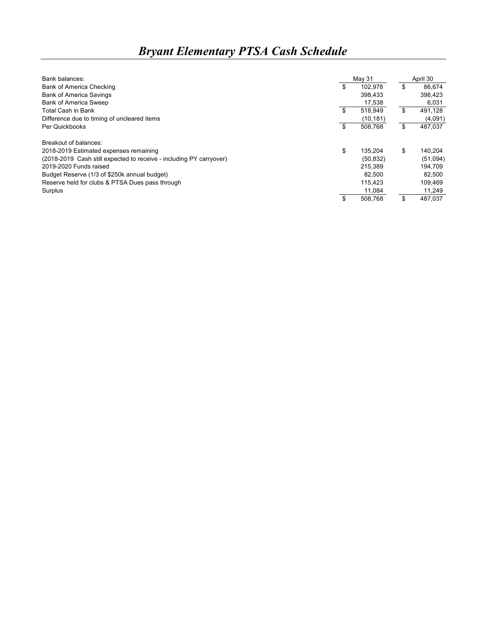## *Bryant Elementary PTSA Cash Schedule*

| Bank balances:                                                      | May 31        | April 30      |
|---------------------------------------------------------------------|---------------|---------------|
| <b>Bank of America Checking</b>                                     | \$<br>102.978 | \$<br>86.674  |
| <b>Bank of America Savings</b>                                      | 398,433       | 398,423       |
| <b>Bank of America Sweep</b>                                        | 17,538        | 6,031         |
| <b>Total Cash in Bank</b>                                           | \$<br>518.949 | \$<br>491,128 |
| Difference due to timing of uncleared items                         | (10, 181)     | (4,091)       |
| Per Quickbooks                                                      | \$<br>508,768 | \$<br>487,037 |
| Breakout of balances:                                               |               |               |
| 2018-2019 Estimated expenses remaining                              | \$<br>135.204 | \$<br>140.204 |
| (2018-2019 Cash still expected to receive - including PY carryover) | (50.832)      | (51,094)      |
| 2019-2020 Funds raised                                              | 215.389       | 194.709       |
| Budget Reserve (1/3 of \$250k annual budget)                        | 82.500        | 82,500        |
| Reserve held for clubs & PTSA Dues pass through                     | 115.423       | 109,469       |
| Surplus                                                             | 11,084        | 11,249        |
|                                                                     | 508.768       | \$<br>487.037 |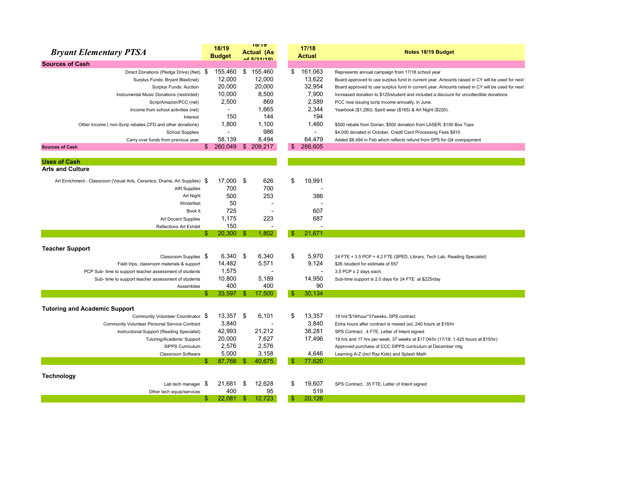| <b>Bryant Elementary PTSA</b>                                              | 18/19<br><b>Budget</b> |     | 19112<br><b>Actual (As</b><br>AFE/24/4Q |     | 17/18<br><b>Actual</b> | Notes 18/19 Budget                                                                             |
|----------------------------------------------------------------------------|------------------------|-----|-----------------------------------------|-----|------------------------|------------------------------------------------------------------------------------------------|
| <b>Sources of Cash</b>                                                     |                        |     |                                         |     |                        |                                                                                                |
| Direct Donations (Pledge Drive) (Net) \$                                   | 155,460                | \$  | 155,460                                 | \$  | 161,063                | Represents annual campaign from 17/18 school year                                              |
| Surplus Funds: Bryant Blast(net)                                           | 12,000                 |     | 12,000                                  |     | 13,622                 | Board approved to use surplus fund in current year. Amounts raised in CY will be used for next |
| Surplus Funds: Auction                                                     | 20,000                 |     | 20,000                                  |     | 32,954                 | Board approved to use surplus fund in current year. Amounts raised in CY will be used for next |
| Instrumental Music Donations (restricted)                                  | 10,000                 |     | 8,500                                   |     | 7,900                  | Increased donation to \$125/student and included a discount for uncollectible donations        |
| Scrip/Amazon/PCC (net)                                                     | 2,500                  |     | 869                                     |     | 2,589                  | PCC now issuing scrip income annually, in June.                                                |
| Income from school activities (net)                                        |                        |     | 1.665                                   |     | 2,344                  | Yearbook (\$1,280), Spirit wear (\$165) & Art Night (\$220).                                   |
| Interest                                                                   | 150                    |     | 144                                     |     |                        | 194                                                                                            |
| Other Income (non-Scrip rebates, CFD and other donations)                  | 1,800                  |     | 1,100                                   |     | 1,460                  | \$500 rebate from Dorian, \$500 donation from LASER, \$100 Box Tops                            |
| <b>School Supplies</b>                                                     | $\overline{a}$         |     | 986                                     |     | $\mathbf{r}$           | \$4,000 donated in October. Credit Card Processing Fees \$810                                  |
| Carry over funds from previous year                                        | 58.139                 |     | 8.494                                   |     | 64.479                 | Added \$8,494 in Feb which reflects refund from SPS for Q4 overpayment                         |
| <b>Sources of Cash</b>                                                     | $$260,049$ \$ 209,217  |     |                                         | \$  | 286.605                |                                                                                                |
| <b>Uses of Cash</b>                                                        |                        |     |                                         |     |                        |                                                                                                |
| <b>Arts and Culture</b>                                                    |                        |     |                                         |     |                        |                                                                                                |
| Art Enrichment - Classroom (Visual Arts, Ceramics, Drama, Art Supplies) \$ | 17,000                 | \$  | 626                                     | \$  | 19,991                 |                                                                                                |
| <b>AIR Supplies</b>                                                        | 700                    |     | 700                                     |     |                        |                                                                                                |
| Art Night                                                                  | 500                    |     | 253                                     |     |                        | 386                                                                                            |
| Winterfest                                                                 | 50                     |     |                                         |     |                        |                                                                                                |
| Book It                                                                    | 725                    |     |                                         |     |                        | 607                                                                                            |
| Art Docent Supplies                                                        | 1,175                  |     | 223                                     |     |                        | 687                                                                                            |
| <b>Reflections Art Exhibit</b>                                             | 150                    |     |                                         |     |                        |                                                                                                |
|                                                                            | \$<br>20,300           | -\$ | 1.802                                   |     | 21.671                 |                                                                                                |
| <b>Teacher Support</b>                                                     |                        |     |                                         |     |                        |                                                                                                |
| Classroom Supplies \$                                                      | 6,340                  | \$  | 6,340                                   | \$  | 5,970                  | 24 FTE + 3.5 PCP + 4.2 FTE (SPED, Library, Tech Lab, Reading Specialist)                       |
| Field trips, classroom materials & support                                 | 14,482                 |     | 5,571                                   |     | 9.124                  | \$26 /student for estimate of 557                                                              |
| PCP Sub- time to support teacher assessment of students                    | 1,575                  |     |                                         |     |                        | 3.5 PCP x 2 days each.                                                                         |
| Sub- time to support teacher assessment of students                        | 10,800                 |     | 5,189                                   |     | 14,950                 | Sub-time support is 2.0 days for 24 FTE at \$225/day                                           |
| Assemblies                                                                 | 400                    |     | 400                                     |     |                        | 90                                                                                             |
|                                                                            | 33,597                 | -\$ | 17,500                                  |     | 30,134                 |                                                                                                |
| <b>Tutoring and Academic Support</b>                                       |                        |     |                                         |     |                        |                                                                                                |
| Community Volunteer Coordinator \$                                         | 13,357                 | \$  | 6.101                                   | \$  | 13,357                 | 19 hrs*\$19/hour*37weeks, SPS contract                                                         |
| Community Volunteer Personal Service Contract                              | 3,840                  |     |                                         |     | 3,840                  | Extra hours after contract is maxed out, 240 hours at \$16/hr                                  |
| Instructional Support (Reading Specialist)                                 | 42,993                 |     | 21,212                                  |     | 38,281                 | SPS Contract, .4 FTE, Letter of Intent signed                                                  |
| Tutoring/Academic Support                                                  | 20,000                 |     | 7,627                                   |     | 17,496                 | 19 hrs and 17 hrs per week, 37 weeks at \$17.04/hr (17/18: 1,425 hours at \$15/hr)             |
| <b>SIPPS Curriculum</b>                                                    | 2,576                  |     | 2,576                                   |     |                        | Approved purchase of CCC SIPPS curriculum at December mtg                                      |
| Classroom Software                                                         | 5,000                  |     | 3,158                                   |     | 4,646                  | Learning A-Z (incl Raz Kids) and Splash Math                                                   |
|                                                                            | 87,766                 | -\$ | 40,675                                  |     | 77,620                 |                                                                                                |
| <b>Technology</b>                                                          |                        |     |                                         |     |                        |                                                                                                |
| Lab tech manager                                                           | \$<br>21,681           | \$  | 12.628                                  | \$  | 19.607                 | SPS Contract, .35 FTE, Letter of Intent signed                                                 |
| Other tech equip/services                                                  | 400                    |     | 95                                      |     |                        | 519                                                                                            |
|                                                                            | \$<br>22,081           | -\$ | 12,723                                  | \$. | 20,126                 |                                                                                                |
|                                                                            |                        |     |                                         |     |                        |                                                                                                |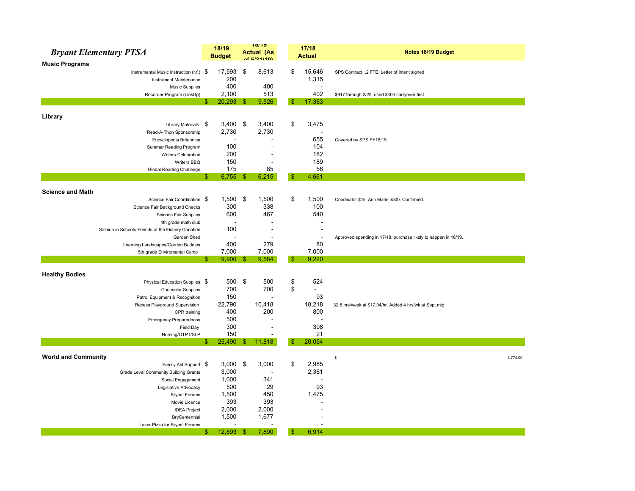| <b>Bryant Elementary PTSA</b>                     | 18/19<br><b>Budget</b> |                |    | 10/19<br><b>Actual (As</b><br>of E/24/40) |     | 17/18<br><b>Actual</b>   | Notes 18/19 Budget                                              |
|---------------------------------------------------|------------------------|----------------|----|-------------------------------------------|-----|--------------------------|-----------------------------------------------------------------|
| <b>Music Programs</b>                             |                        |                |    |                                           |     |                          |                                                                 |
| Instrumental Music instruction (r.f.) $\$$        |                        | 17,593         | \$ | 8,613                                     | \$  | 15,646                   | SPS Contract, .2 FTE, Letter of Intent signed                   |
| Instrument Maintenance                            |                        | 200            |    |                                           |     | 1,315                    |                                                                 |
| <b>Music Supplies</b>                             |                        | 400            |    | 400                                       |     | $\overline{\phantom{a}}$ |                                                                 |
| Recorder Program (LinkUp)                         |                        | 2,100          |    | 513                                       |     | 402                      | \$917 through 2/28, used \$400 carryover first.                 |
|                                                   | \$                     | $20,293$ \$    |    | 9,526                                     | \$. | 17,363                   |                                                                 |
|                                                   |                        |                |    |                                           |     |                          |                                                                 |
| Library<br>Library Materials \$                   |                        | 3,400          | \$ | 3,400                                     | \$  | 3,475                    |                                                                 |
| Read-A-Thon Sponsorship                           |                        | 2,730          |    | 2,730                                     |     | $\overline{\phantom{a}}$ |                                                                 |
| Encyclopedia Britannica                           |                        | $\overline{a}$ |    | ä,                                        |     | 655                      | Covered by SPS FY18/19                                          |
| Summer Reading Program                            |                        | 100            |    |                                           |     | 104                      |                                                                 |
| Writers Celebration                               |                        | 200            |    |                                           |     | 182                      |                                                                 |
| Writers BBQ                                       |                        | 150            |    | ÷                                         |     | 189                      |                                                                 |
| Global Reading Challenge                          |                        | 175            |    | 85                                        |     | 56                       |                                                                 |
|                                                   | \$                     | $6,755$ \$     |    | 6,215                                     | -\$ | 4,661                    |                                                                 |
|                                                   |                        |                |    |                                           |     |                          |                                                                 |
| <b>Science and Math</b>                           |                        |                |    |                                           |     |                          |                                                                 |
| Science Fair Coordination \$                      |                        | 1,500          | \$ | 1,500                                     | \$  | 1,500                    | Coodinator \$1k, Ann Marie \$500. Confirmed.                    |
| Science Fair Background Checks                    |                        | 300            |    | 338                                       |     | 100                      |                                                                 |
| Science Fair Supplies                             |                        | 600            |    | 467                                       |     | 540                      |                                                                 |
| 4th grade math club                               |                        |                |    |                                           |     |                          |                                                                 |
| Salmon in Schools Friends of the Fishery Donation |                        | 100            |    | $\sim$                                    |     | $\overline{\phantom{a}}$ |                                                                 |
| Garden Shed                                       |                        |                |    |                                           |     | $\blacksquare$           | Approved spending in 17/18, purchase likely to happen in 18/19. |
| Learning Landscapes/Garden Buddies                |                        | 400            |    | 279                                       |     | 80                       |                                                                 |
| 5th grade Enviromental Camp                       |                        | 7,000          |    | 7,000                                     |     | 7,000                    |                                                                 |
|                                                   | \$.                    | $9,900$ \$     |    | 9,584                                     | \$  | 9,220                    |                                                                 |
| <b>Healthy Bodies</b>                             |                        |                |    |                                           |     |                          |                                                                 |
| Physical Education Supplies \$                    |                        | 500            | \$ | 500                                       | \$  | 524                      |                                                                 |
| <b>Counselor Supplies</b>                         |                        | 700            |    | 700                                       | \$  |                          |                                                                 |
| Patrol Equipment & Recognition                    |                        | 150            |    |                                           |     | 93                       |                                                                 |
| Recess Playground Supervision                     |                        | 22,790         |    | 10,418                                    |     | 18,218                   | 32.5 hrs/week at \$17.04/hr. Added 4 hrs/wk at Sept mtg         |
| CPR training                                      |                        | 400            |    | 200                                       |     | 800                      |                                                                 |
| <b>Emergency Preparedness</b>                     |                        | 500            |    | $\overline{\phantom{a}}$                  |     | $\overline{\phantom{a}}$ |                                                                 |
| Field Day                                         |                        | 300            |    | $\overline{a}$                            |     | 398                      |                                                                 |
| Nursing/OTPT/SLP                                  |                        | 150            |    | $\overline{a}$                            |     | 21                       |                                                                 |
|                                                   | \$                     | $25,490$ \$    |    | 11,818                                    | \$  | 20,054                   |                                                                 |
|                                                   |                        |                |    |                                           |     |                          |                                                                 |
| <b>World and Community</b>                        |                        |                |    |                                           |     |                          | s<br>3,774.00                                                   |
| Family Aid Support \$                             |                        | $3,000$ \$     |    | 3,000                                     | \$  | 2,985                    |                                                                 |
| Grade Level Community Building Grants             |                        | 3,000          |    |                                           |     | 2,361                    |                                                                 |
| Social Engagement                                 |                        | 1,000          |    | 341                                       |     |                          |                                                                 |
| Legislative Advocacy                              |                        | 500            |    | 29                                        |     | 93                       |                                                                 |
| <b>Bryant Forums</b>                              |                        | 1,500          |    | 450                                       |     | 1,475                    |                                                                 |
| Movie Licence                                     |                        | 393            |    | 393                                       |     |                          |                                                                 |
| <b>IDEA Project</b>                               |                        | 2,000          |    | 2,000                                     |     |                          |                                                                 |
| BryCentennial                                     |                        | 1,500          |    | 1,677                                     |     |                          |                                                                 |
| Laser Pizza for Bryant Forums                     |                        |                |    |                                           |     | $\overline{a}$           |                                                                 |
|                                                   | \$                     | 12,893         | -S | 7,890                                     | -\$ | 6,914                    |                                                                 |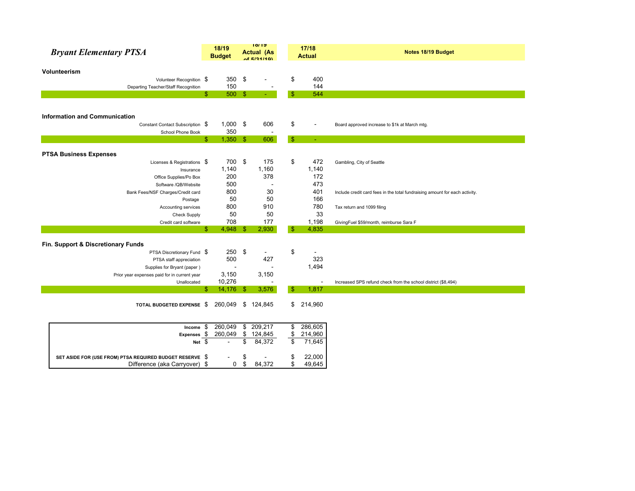| <b>Bryant Elementary PTSA</b>                            | 18/19<br><b>Budget</b> |               | 10/19<br><b>Actual (As</b> |               | 17/18<br><b>Actual</b> | Notes 18/19 Budget                                                          |
|----------------------------------------------------------|------------------------|---------------|----------------------------|---------------|------------------------|-----------------------------------------------------------------------------|
|                                                          |                        |               | AFE/24/4Q                  |               |                        |                                                                             |
| Volunteerism                                             |                        |               |                            |               |                        |                                                                             |
| Volunteer Recognition \$                                 | 350                    | \$            |                            | \$            | 400                    |                                                                             |
| Departing Teacher/Staff Recognition                      | 150                    |               |                            |               | 144                    |                                                                             |
|                                                          | 500<br>\$              | $\mathbf{\$}$ |                            | $\mathbf{\$}$ | 544                    |                                                                             |
|                                                          |                        |               |                            |               |                        |                                                                             |
|                                                          |                        |               |                            |               |                        |                                                                             |
| <b>Information and Communication</b>                     |                        |               |                            |               |                        |                                                                             |
| Constant Contact Subscription \$                         | $1,000$ \$             |               | 606                        | \$            | $\blacksquare$         | Board approved increase to \$1k at March mtg.                               |
| School Phone Book                                        | 350                    |               |                            |               |                        |                                                                             |
|                                                          | 1,350<br>\$            | -\$           | 606                        | $\mathbf{\$}$ | $\blacksquare$         |                                                                             |
|                                                          |                        |               |                            |               |                        |                                                                             |
| <b>PTSA Business Expenses</b>                            |                        |               |                            |               |                        |                                                                             |
| Licenses & Registrations \$                              | 700                    | \$            | 175                        | \$            | 472                    | Gambling, City of Seattle                                                   |
| Insurance                                                | 1,140                  |               | 1,160                      |               | 1,140                  |                                                                             |
| Office Supplies/Po Box                                   | 200                    |               | 378                        |               | 172                    |                                                                             |
| Software /QB/Website                                     | 500                    |               |                            |               | 473                    |                                                                             |
| Bank Fees/NSF Charges/Credit card                        | 800                    |               | 30                         |               | 401                    | Include credit card fees in the total fundraising amount for each activity. |
| Postage                                                  | 50                     |               | 50                         |               | 166                    |                                                                             |
| Accounting services                                      | 800                    |               | 910                        |               | 780                    | Tax return and 1099 filing                                                  |
| Check Supply                                             | 50                     |               | 50                         |               | 33                     |                                                                             |
| Credit card software                                     | 708                    |               | 177                        |               | 1,198                  | GivingFuel \$59/month, reimburse Sara F                                     |
|                                                          | 4,948<br>\$            | $\mathbb{S}$  | 2,930                      | -\$           | 4,835                  |                                                                             |
| Fin. Support & Discretionary Funds                       |                        |               |                            |               |                        |                                                                             |
| PTSA Discretionary Fund \$                               |                        | $250$ \$      | $\blacksquare$             | \$            |                        |                                                                             |
| PTSA staff appreciation                                  | 500                    |               | 427                        |               | 323                    |                                                                             |
| Supplies for Bryant (paper)                              |                        |               |                            |               | 1,494                  |                                                                             |
| Prior year expenses paid for in current year             | 3,150                  |               | 3,150                      |               |                        |                                                                             |
| Unallocated                                              | 10,276                 |               |                            |               |                        | Increased SPS refund check from the school district (\$8,494)               |
|                                                          | 14,176<br>\$           | -\$           | 3,576                      | \$            | 1,817                  |                                                                             |
|                                                          |                        |               |                            |               |                        |                                                                             |
| TOTAL BUDGETED EXPENSE \$                                | 260,049                | \$            | 124,845                    |               | \$214,960              |                                                                             |
|                                                          |                        |               |                            |               |                        |                                                                             |
|                                                          |                        |               |                            |               |                        |                                                                             |
| Income $$$                                               | 260,049                |               | \$209,217                  | \$            | 286,605                |                                                                             |
| Expenses \$                                              | 260,049                | \$            | 124,845                    | \$            | 214,960                |                                                                             |
| Net \$                                                   |                        | \$            | 84,372                     | \$            | 71,645                 |                                                                             |
|                                                          |                        |               |                            |               |                        |                                                                             |
| SET ASIDE FOR (USE FROM) PTSA REQUIRED BUDGET RESERVE \$ |                        | \$            |                            | \$            | 22,000                 |                                                                             |
| Difference (aka Carryover) \$                            | 0                      | \$            | 84,372                     | \$            | 49,645                 |                                                                             |
|                                                          |                        |               |                            |               |                        |                                                                             |